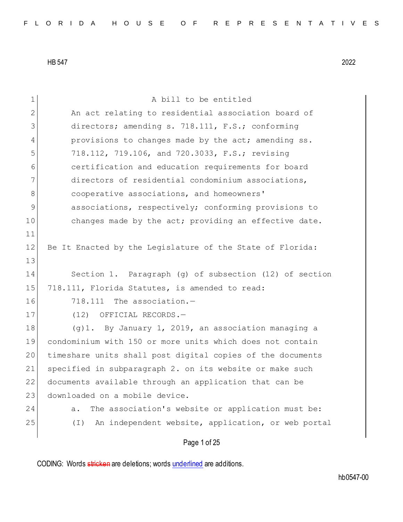| 1            | A bill to be entitled                                          |
|--------------|----------------------------------------------------------------|
| $\mathbf{2}$ | An act relating to residential association board of            |
| 3            | directors; amending s. 718.111, F.S.; conforming               |
| 4            | provisions to changes made by the act; amending ss.            |
| 5            | 718.112, 719.106, and 720.3033, F.S.; revising                 |
| 6            | certification and education requirements for board             |
| 7            | directors of residential condominium associations,             |
| 8            | cooperative associations, and homeowners'                      |
| $\mathsf 9$  | associations, respectively; conforming provisions to           |
| 10           | changes made by the act; providing an effective date.          |
| 11           |                                                                |
| 12           | Be It Enacted by the Legislature of the State of Florida:      |
| 13           |                                                                |
| 14           | Section 1. Paragraph (q) of subsection (12) of section         |
| 15           | 718.111, Florida Statutes, is amended to read:                 |
| 16           | 718.111 The association.-                                      |
| 17           | (12) OFFICIAL RECORDS.-                                        |
| 18           | (g)1. By January 1, 2019, an association managing a            |
| 19           | condominium with 150 or more units which does not contain      |
| 20           | timeshare units shall post digital copies of the documents     |
| 21           | specified in subparagraph 2. on its website or make such       |
| 22           | documents available through an application that can be         |
| 23           | downloaded on a mobile device.                                 |
| 24           | The association's website or application must be:<br>a.        |
| 25           | An independent website, application, or web portal<br>$(\bot)$ |
|              | Page 1 of 25                                                   |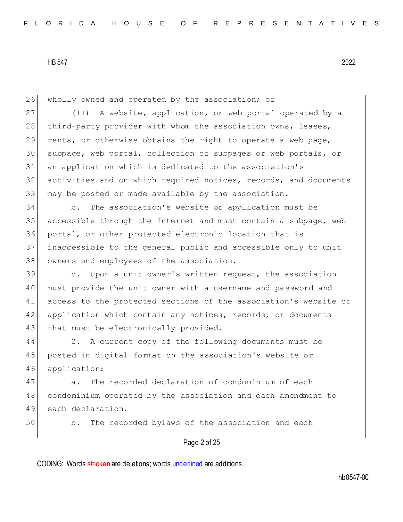26 wholly owned and operated by the association; or

27 (II) A website, application, or web portal operated by a 28 | third-party provider with whom the association owns, leases, 29 rents, or otherwise obtains the right to operate a web page, 30 subpage, web portal, collection of subpages or web portals, or 31 an application which is dedicated to the association's 32 activities and on which required notices, records, and documents 33 may be posted or made available by the association.

 b. The association's website or application must be accessible through the Internet and must contain a subpage, web portal, or other protected electronic location that is inaccessible to the general public and accessible only to unit 38 owners and employees of the association.

39 c. Upon a unit owner's written request, the association 40 must provide the unit owner with a username and password and 41 access to the protected sections of the association's website or 42 application which contain any notices, records, or documents 43 that must be electronically provided.

44 2. A current copy of the following documents must be 45 posted in digital format on the association's website or 46 application:

47 a. The recorded declaration of condominium of each 48 condominium operated by the association and each amendment to 49 each declaration.

50 b. The recorded bylaws of the association and each

#### Page 2 of 25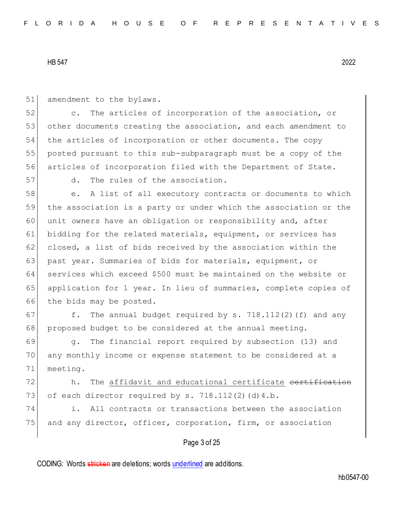51 amendment to the bylaws.

52 c. The articles of incorporation of the association, or 53 other documents creating the association, and each amendment to 54 the articles of incorporation or other documents. The copy 55 posted pursuant to this sub-subparagraph must be a copy of the 56 articles of incorporation filed with the Department of State.

57 d. The rules of the association.

58 e. A list of all executory contracts or documents to which 59 the association is a party or under which the association or the 60 unit owners have an obligation or responsibility and, after 61 bidding for the related materials, equipment, or services has 62 closed, a list of bids received by the association within the 63 past year. Summaries of bids for materials, equipment, or 64 services which exceed \$500 must be maintained on the website or 65 application for 1 year. In lieu of summaries, complete copies of 66 the bids may be posted.

67  $f.$  The annual budget required by s. 718.112(2)(f) and any 68 proposed budget to be considered at the annual meeting.

69 g. The financial report required by subsection (13) and 70 any monthly income or expense statement to be considered at a 71 meeting.

72 h. The affidavit and educational certificate certification 73 of each director required by s.  $718.112(2)(d)4.b$ .

74 i. All contracts or transactions between the association 75 and any director, officer, corporation, firm, or association

#### Page 3 of 25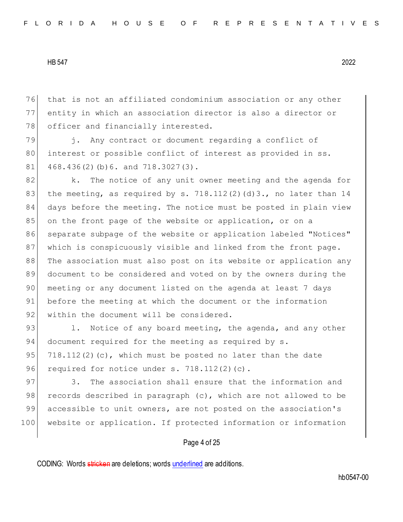76 that is not an affiliated condominium association or any other 77 entity in which an association director is also a director or 78 officer and financially interested.

79 i. Any contract or document regarding a conflict of 80 interest or possible conflict of interest as provided in ss.  $81$  468.436(2)(b)6. and 718.3027(3).

82 k. The notice of any unit owner meeting and the agenda for 83 the meeting, as required by s. 718.112(2)(d)3., no later than 14 84 days before the meeting. The notice must be posted in plain view 85 on the front page of the website or application, or on a 86 separate subpage of the website or application labeled "Notices" 87 which is conspicuously visible and linked from the front page. 88 The association must also post on its website or application any 89 document to be considered and voted on by the owners during the 90 | meeting or any document listed on the agenda at least 7 days 91 before the meeting at which the document or the information 92 within the document will be considered.

93 1. Notice of any board meeting, the agenda, and any other 94 document required for the meeting as required by s. 95 718.112(2)(c), which must be posted no later than the date 96 required for notice under  $s. 718.112(2)(c)$ .

97 3. The association shall ensure that the information and 98 records described in paragraph  $(c)$ , which are not allowed to be 99 accessible to unit owners, are not posted on the association's 100 website or application. If protected information or information

#### Page 4 of 25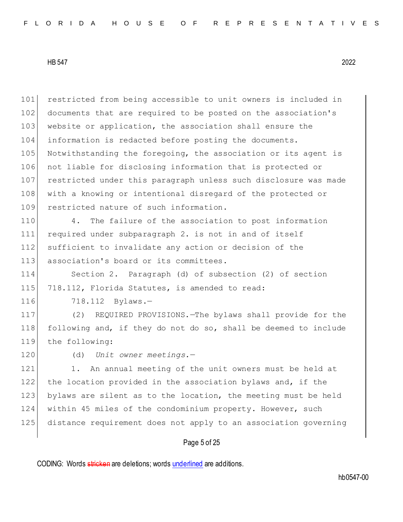restricted from being accessible to unit owners is included in documents that are required to be posted on the association's 103 website or application, the association shall ensure the information is redacted before posting the documents. Notwithstanding the foregoing, the association or its agent is not liable for disclosing information that is protected or restricted under this paragraph unless such disclosure was made with a knowing or intentional disregard of the protected or restricted nature of such information.

 4. The failure of the association to post information required under subparagraph 2. is not in and of itself 112 sufficient to invalidate any action or decision of the 113 association's board or its committees.

 Section 2. Paragraph (d) of subsection (2) of section 718.112, Florida Statutes, is amended to read:

116 718.112 Bylaws.-

 (2) REQUIRED PROVISIONS.—The bylaws shall provide for the following and, if they do not do so, shall be deemed to include 119 the following:

(d) *Unit owner meetings.*—

121 1. An annual meeting of the unit owners must be held at the location provided in the association bylaws and, if the bylaws are silent as to the location, the meeting must be held within 45 miles of the condominium property. However, such distance requirement does not apply to an association governing

## Page 5 of 25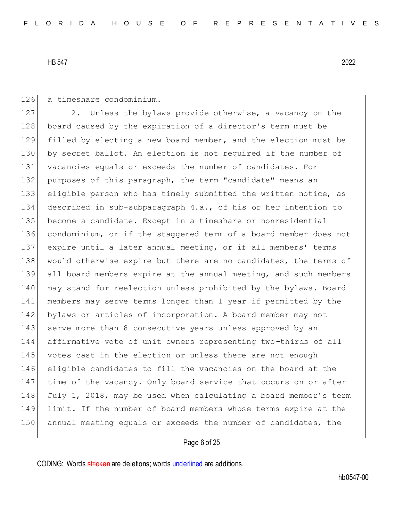126 a timeshare condominium.

127 2. Unless the bylaws provide otherwise, a vacancy on the 128 board caused by the expiration of a director's term must be filled by electing a new board member, and the election must be by secret ballot. An election is not required if the number of vacancies equals or exceeds the number of candidates. For 132 purposes of this paragraph, the term "candidate" means an eligible person who has timely submitted the written notice, as described in sub-subparagraph 4.a., of his or her intention to become a candidate. Except in a timeshare or nonresidential condominium, or if the staggered term of a board member does not expire until a later annual meeting, or if all members' terms 138 would otherwise expire but there are no candidates, the terms of all board members expire at the annual meeting, and such members 140 may stand for reelection unless prohibited by the bylaws. Board members may serve terms longer than 1 year if permitted by the bylaws or articles of incorporation. A board member may not 143 serve more than 8 consecutive years unless approved by an affirmative vote of unit owners representing two-thirds of all 145 votes cast in the election or unless there are not enough eligible candidates to fill the vacancies on the board at the time of the vacancy. Only board service that occurs on or after 148 July 1, 2018, may be used when calculating a board member's term limit. If the number of board members whose terms expire at the annual meeting equals or exceeds the number of candidates, the

# Page 6 of 25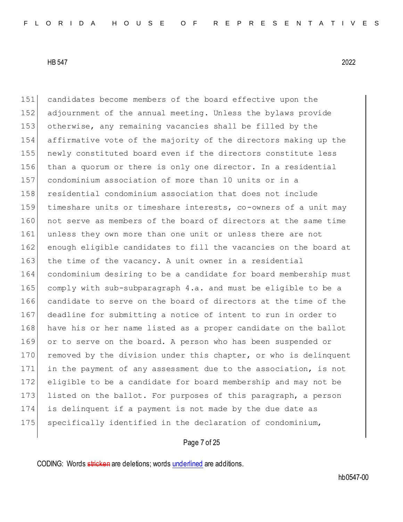candidates become members of the board effective upon the adjournment of the annual meeting. Unless the bylaws provide otherwise, any remaining vacancies shall be filled by the affirmative vote of the majority of the directors making up the 155 newly constituted board even if the directors constitute less than a quorum or there is only one director. In a residential condominium association of more than 10 units or in a residential condominium association that does not include timeshare units or timeshare interests, co-owners of a unit may 160 not serve as members of the board of directors at the same time 161 unless they own more than one unit or unless there are not 162 enough eligible candidates to fill the vacancies on the board at 163 the time of the vacancy. A unit owner in a residential condominium desiring to be a candidate for board membership must comply with sub-subparagraph 4.a. and must be eligible to be a candidate to serve on the board of directors at the time of the deadline for submitting a notice of intent to run in order to 168 have his or her name listed as a proper candidate on the ballot or to serve on the board. A person who has been suspended or 170 removed by the division under this chapter, or who is delinquent in the payment of any assessment due to the association, is not eligible to be a candidate for board membership and may not be 173 listed on the ballot. For purposes of this paragraph, a person is delinquent if a payment is not made by the due date as specifically identified in the declaration of condominium,

## Page 7 of 25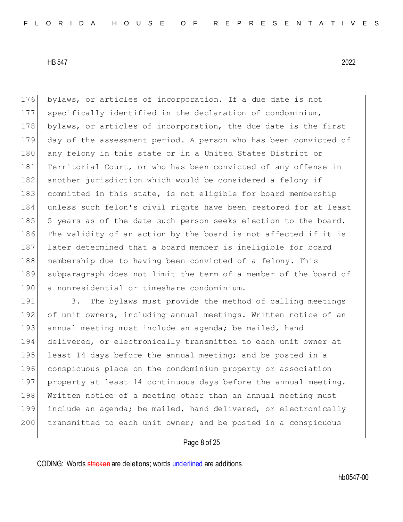176 bylaws, or articles of incorporation. If a due date is not 177 specifically identified in the declaration of condominium, 178 bylaws, or articles of incorporation, the due date is the first 179 day of the assessment period. A person who has been convicted of 180 any felony in this state or in a United States District or 181 Territorial Court, or who has been convicted of any offense in 182 another jurisdiction which would be considered a felony if 183 committed in this state, is not eligible for board membership 184 unless such felon's civil rights have been restored for at least 185 5 years as of the date such person seeks election to the board. 186 The validity of an action by the board is not affected if it is 187 later determined that a board member is ineligible for board 188 membership due to having been convicted of a felony. This 189 subparagraph does not limit the term of a member of the board of 190 a nonresidential or timeshare condominium.

191 3. The bylaws must provide the method of calling meetings 192 of unit owners, including annual meetings. Written notice of an 193 annual meeting must include an agenda; be mailed, hand 194 delivered, or electronically transmitted to each unit owner at 195 least 14 days before the annual meeting; and be posted in a 196 conspicuous place on the condominium property or association 197 property at least 14 continuous days before the annual meeting. 198 Written notice of a meeting other than an annual meeting must 199 include an agenda; be mailed, hand delivered, or electronically 200 transmitted to each unit owner; and be posted in a conspicuous

### Page 8 of 25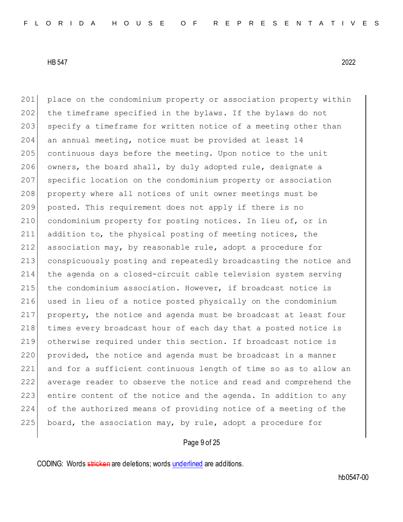201 place on the condominium property or association property within 202 the timeframe specified in the bylaws. If the bylaws do not 203 specify a timeframe for written notice of a meeting other than an annual meeting, notice must be provided at least 14 continuous days before the meeting. Upon notice to the unit 206 owners, the board shall, by duly adopted rule, designate a specific location on the condominium property or association 208 property where all notices of unit owner meetings must be posted. This requirement does not apply if there is no condominium property for posting notices. In lieu of, or in addition to, the physical posting of meeting notices, the association may, by reasonable rule, adopt a procedure for 213 conspicuously posting and repeatedly broadcasting the notice and the agenda on a closed-circuit cable television system serving the condominium association. However, if broadcast notice is used in lieu of a notice posted physically on the condominium property, the notice and agenda must be broadcast at least four 218 times every broadcast hour of each day that a posted notice is otherwise required under this section. If broadcast notice is 220 provided, the notice and agenda must be broadcast in a manner and for a sufficient continuous length of time so as to allow an average reader to observe the notice and read and comprehend the entire content of the notice and the agenda. In addition to any of the authorized means of providing notice of a meeting of the 225 board, the association may, by rule, adopt a procedure for

### Page 9 of 25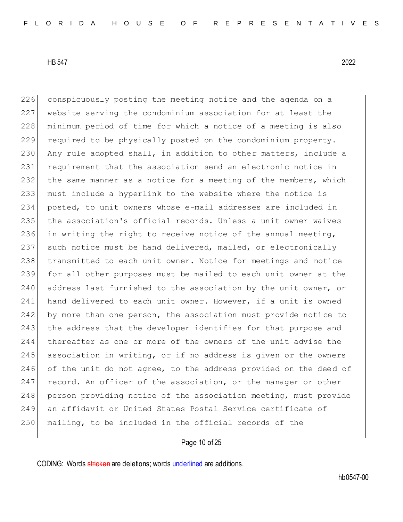226 conspicuously posting the meeting notice and the agenda on a 227 website serving the condominium association for at least the 228 | minimum period of time for which a notice of a meeting is also 229 required to be physically posted on the condominium property. 230 Any rule adopted shall, in addition to other matters, include a 231 requirement that the association send an electronic notice in 232 the same manner as a notice for a meeting of the members, which 233 must include a hyperlink to the website where the notice is 234 posted, to unit owners whose e-mail addresses are included in 235 the association's official records. Unless a unit owner waives 236 in writing the right to receive notice of the annual meeting, 237 such notice must be hand delivered, mailed, or electronically 238 transmitted to each unit owner. Notice for meetings and notice 239 for all other purposes must be mailed to each unit owner at the 240 address last furnished to the association by the unit owner, or 241 hand delivered to each unit owner. However, if a unit is owned 242 by more than one person, the association must provide notice to 243 the address that the developer identifies for that purpose and 244 thereafter as one or more of the owners of the unit advise the 245 association in writing, or if no address is given or the owners 246 of the unit do not agree, to the address provided on the deed of 247 record. An officer of the association, or the manager or other 248 person providing notice of the association meeting, must provide 249 an affidavit or United States Postal Service certificate of 250 mailing, to be included in the official records of the

## Page 10 of 25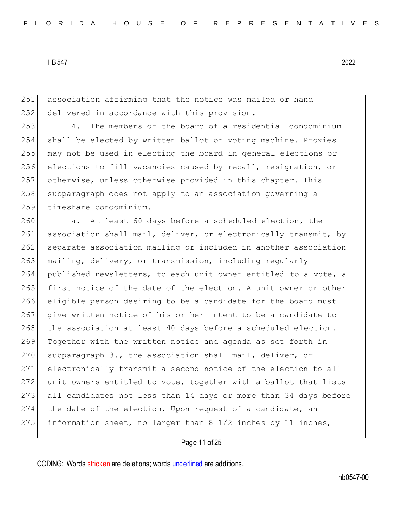251 association affirming that the notice was mailed or hand 252 delivered in accordance with this provision.

 4. The members of the board of a residential condominium shall be elected by written ballot or voting machine. Proxies may not be used in electing the board in general elections or elections to fill vacancies caused by recall, resignation, or otherwise, unless otherwise provided in this chapter. This 258 subparagraph does not apply to an association governing a 259 timeshare condominium.

260 a. At least 60 days before a scheduled election, the 261 association shall mail, deliver, or electronically transmit, by 262 separate association mailing or included in another association 263 mailing, delivery, or transmission, including regularly 264 published newsletters, to each unit owner entitled to a vote, a 265 first notice of the date of the election. A unit owner or other 266 eligible person desiring to be a candidate for the board must 267 give written notice of his or her intent to be a candidate to 268 the association at least 40 days before a scheduled election. 269 Together with the written notice and agenda as set forth in 270 subparagraph 3., the association shall mail, deliver, or 271 electronically transmit a second notice of the election to all 272 unit owners entitled to vote, together with a ballot that lists 273 all candidates not less than 14 days or more than 34 days before  $274$  the date of the election. Upon request of a candidate, an 275 information sheet, no larger than  $8 \frac{1}{2}$  inches by 11 inches,

## Page 11 of 25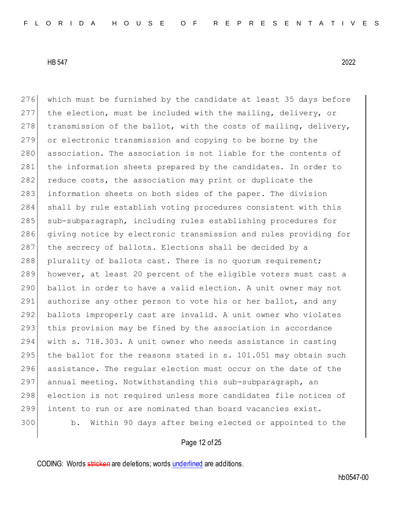276 which must be furnished by the candidate at least 35 days before 277 the election, must be included with the mailing, delivery, or 278 transmission of the ballot, with the costs of mailing, delivery, 279 or electronic transmission and copying to be borne by the 280 association. The association is not liable for the contents of 281 the information sheets prepared by the candidates. In order to 282 reduce costs, the association may print or duplicate the 283 information sheets on both sides of the paper. The division 284 shall by rule establish voting procedures consistent with this 285 sub-subparagraph, including rules establishing procedures for 286 giving notice by electronic transmission and rules providing for 287 the secrecy of ballots. Elections shall be decided by a 288 plurality of ballots cast. There is no quorum requirement; 289 however, at least 20 percent of the eligible voters must cast a 290 ballot in order to have a valid election. A unit owner may not 291 authorize any other person to vote his or her ballot, and any 292 ballots improperly cast are invalid. A unit owner who violates 293 this provision may be fined by the association in accordance 294 with s. 718.303. A unit owner who needs assistance in casting 295 the ballot for the reasons stated in  $s$ . 101.051 may obtain such 296 assistance. The regular election must occur on the date of the 297 annual meeting. Notwithstanding this sub-subparagraph, an 298 election is not required unless more candidates file notices of 299 intent to run or are nominated than board vacancies exist. 300 b. Within 90 days after being elected or appointed to the

## Page 12 of 25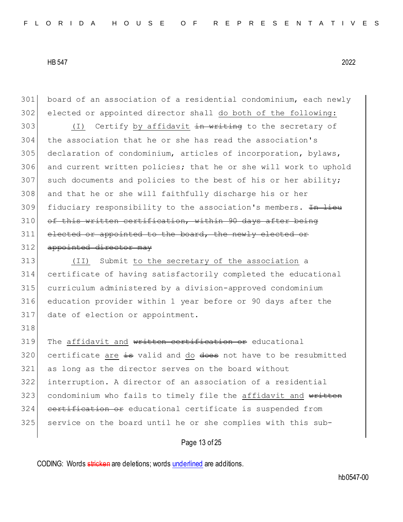318

301 board of an association of a residential condominium, each newly 302 elected or appointed director shall do both of the following:

303 (I) Certify by affidavit in writing to the secretary of 304 the association that he or she has read the association's 305 declaration of condominium, articles of incorporation, bylaws, 306 and current written policies; that he or she will work to uphold  $307$  such documents and policies to the best of his or her ability; 308 and that he or she will faithfully discharge his or her 309 fiduciary responsibility to the association's members. <del>In lieu</del> 310 of this written certification, within 90 days after being 311 elected or appointed to the board, the newly elected or 312 appointed director may

 (II) Submit to the secretary of the association a certificate of having satisfactorily completed the educational curriculum administered by a division-approved condominium education provider within 1 year before or 90 days after the date of election or appointment.

319 The affidavit and written certification or educational  $320$  certificate are  $\frac{1}{15}$  valid and do does not have to be resubmitted 321 as long as the director serves on the board without 322 interruption. A director of an association of a residential 323 condominium who fails to timely file the affidavit and written 324 certification or educational certificate is suspended from 325 service on the board until he or she complies with this sub-

### Page 13 of 25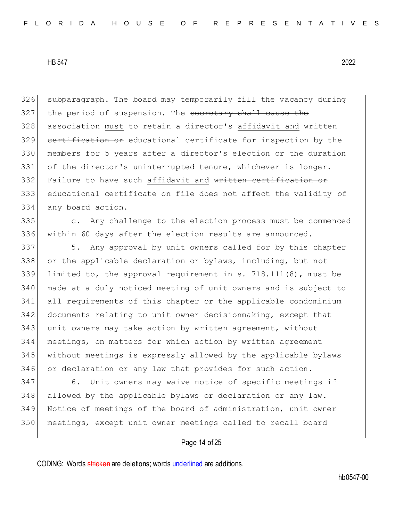326 subparagraph. The board may temporarily fill the vacancy during 327 the period of suspension. The secretary shall cause the 328 association must to retain a director's affidavit and written 329 certification or educational certificate for inspection by the 330 members for 5 years after a director's election or the duration 331 of the director's uninterrupted tenure, whichever is longer. 332 Failure to have such affidavit and written certification or 333 educational certificate on file does not affect the validity of 334 any board action.

335 c. Any challenge to the election process must be commenced 336 within 60 days after the election results are announced.

337 5. Any approval by unit owners called for by this chapter 338 or the applicable declaration or bylaws, including, but not limited to, the approval requirement in s. 718.111(8), must be made at a duly noticed meeting of unit owners and is subject to all requirements of this chapter or the applicable condominium documents relating to unit owner decisionmaking, except that unit owners may take action by written agreement, without meetings, on matters for which action by written agreement without meetings is expressly allowed by the applicable bylaws or declaration or any law that provides for such action.

 6. Unit owners may waive notice of specific meetings if 348 allowed by the applicable bylaws or declaration or any law. Notice of meetings of the board of administration, unit owner meetings, except unit owner meetings called to recall board

## Page 14 of 25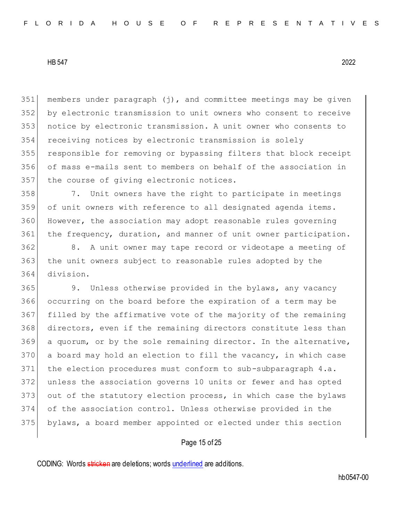members under paragraph (j), and committee meetings may be given by electronic transmission to unit owners who consent to receive notice by electronic transmission. A unit owner who consents to receiving notices by electronic transmission is solely responsible for removing or bypassing filters that block receipt of mass e-mails sent to members on behalf of the association in 357 the course of giving electronic notices.

 7. Unit owners have the right to participate in meetings of unit owners with reference to all designated agenda items. However, the association may adopt reasonable rules governing the frequency, duration, and manner of unit owner participation.

 8. A unit owner may tape record or videotape a meeting of the unit owners subject to reasonable rules adopted by the division.

 9. Unless otherwise provided in the bylaws, any vacancy occurring on the board before the expiration of a term may be filled by the affirmative vote of the majority of the remaining directors, even if the remaining directors constitute less than a quorum, or by the sole remaining director. In the alternative, 370 a board may hold an election to fill the vacancy, in which case the election procedures must conform to sub-subparagraph 4.a. unless the association governs 10 units or fewer and has opted 373 out of the statutory election process, in which case the bylaws of the association control. Unless otherwise provided in the bylaws, a board member appointed or elected under this section

### Page 15 of 25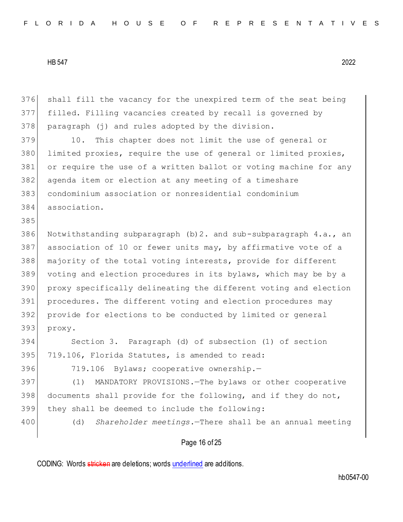376 shall fill the vacancy for the unexpired term of the seat being 377 filled. Filling vacancies created by recall is governed by 378 paragraph (j) and rules adopted by the division.

 10. This chapter does not limit the use of general or limited proxies, require the use of general or limited proxies, 381 or require the use of a written ballot or voting machine for any agenda item or election at any meeting of a timeshare condominium association or nonresidential condominium association.

386 Notwithstanding subparagraph  $(b)$  2. and sub-subparagraph 4.a., an association of 10 or fewer units may, by affirmative vote of a 388 majority of the total voting interests, provide for different voting and election procedures in its bylaws, which may be by a proxy specifically delineating the different voting and election procedures. The different voting and election procedures may provide for elections to be conducted by limited or general 393 proxy.

394 Section 3. Paragraph (d) of subsection (1) of section 395 719.106, Florida Statutes, is amended to read:

385

396 719.106 Bylaws; cooperative ownership.-

397 (1) MANDATORY PROVISIONS.—The bylaws or other cooperative 398 documents shall provide for the following, and if they do not, 399 they shall be deemed to include the following:

400 (d) *Shareholder meetings.*—There shall be an annual meeting

### Page 16 of 25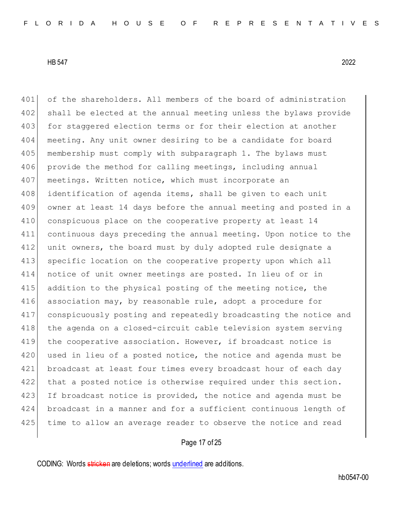401 of the shareholders. All members of the board of administration 402 shall be elected at the annual meeting unless the bylaws provide 403 for staggered election terms or for their election at another 404 meeting. Any unit owner desiring to be a candidate for board 405 membership must comply with subparagraph 1. The bylaws must 406 provide the method for calling meetings, including annual 407 meetings. Written notice, which must incorporate an 408 identification of agenda items, shall be given to each unit 409 owner at least 14 days before the annual meeting and posted in a 410 conspicuous place on the cooperative property at least 14 411 continuous days preceding the annual meeting. Upon notice to the 412 unit owners, the board must by duly adopted rule designate a 413 specific location on the cooperative property upon which all 414 notice of unit owner meetings are posted. In lieu of or in 415 addition to the physical posting of the meeting notice, the 416 association may, by reasonable rule, adopt a procedure for 417 conspicuously posting and repeatedly broadcasting the notice and 418 the agenda on a closed-circuit cable television system serving 419 the cooperative association. However, if broadcast notice is 420 used in lieu of a posted notice, the notice and agenda must be 421 broadcast at least four times every broadcast hour of each day 422 that a posted notice is otherwise required under this section. 423 If broadcast notice is provided, the notice and agenda must be 424 broadcast in a manner and for a sufficient continuous length of 425 time to allow an average reader to observe the notice and read

## Page 17 of 25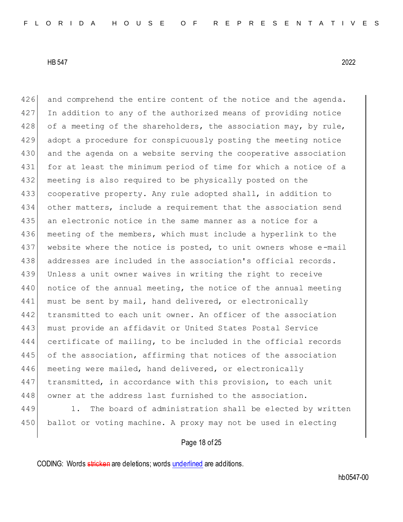426 and comprehend the entire content of the notice and the agenda. 427 In addition to any of the authorized means of providing notice 428 of a meeting of the shareholders, the association may, by rule, 429 adopt a procedure for conspicuously posting the meeting notice 430 and the agenda on a website serving the cooperative association 431 for at least the minimum period of time for which a notice of a 432 meeting is also required to be physically posted on the 433 cooperative property. Any rule adopted shall, in addition to 434 other matters, include a requirement that the association send 435 an electronic notice in the same manner as a notice for a 436 meeting of the members, which must include a hyperlink to the 437 website where the notice is posted, to unit owners whose e-mail 438 addresses are included in the association's official records. 439 Unless a unit owner waives in writing the right to receive 440 notice of the annual meeting, the notice of the annual meeting 441 must be sent by mail, hand delivered, or electronically 442 transmitted to each unit owner. An officer of the association 443 must provide an affidavit or United States Postal Service 444 certificate of mailing, to be included in the official records 445 of the association, affirming that notices of the association 446 meeting were mailed, hand delivered, or electronically 447 transmitted, in accordance with this provision, to each unit 448 owner at the address last furnished to the association. 449 1. The board of administration shall be elected by written

### Page 18 of 25

450 ballot or voting machine. A proxy may not be used in electing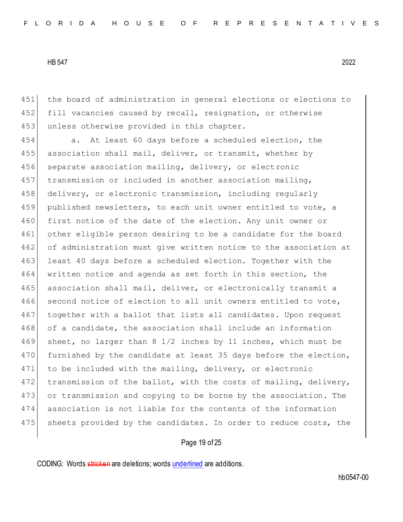451 the board of administration in general elections or elections to 452 fill vacancies caused by recall, resignation, or otherwise 453 unless otherwise provided in this chapter.

454 a. At least 60 days before a scheduled election, the 455 association shall mail, deliver, or transmit, whether by 456 separate association mailing, delivery, or electronic 457 transmission or included in another association mailing, 458 delivery, or electronic transmission, including regularly 459 published newsletters, to each unit owner entitled to vote, a 460 first notice of the date of the election. Any unit owner or 461 other eligible person desiring to be a candidate for the board 462 of administration must give written notice to the association at 463 least 40 days before a scheduled election. Together with the 464 written notice and agenda as set forth in this section, the 465 association shall mail, deliver, or electronically transmit a 466 second notice of election to all unit owners entitled to vote, 467 together with a ballot that lists all candidates. Upon request 468 of a candidate, the association shall include an information 469 sheet, no larger than 8 1/2 inches by 11 inches, which must be 470 furnished by the candidate at least 35 days before the election, 471 to be included with the mailing, delivery, or electronic 472 transmission of the ballot, with the costs of mailing, delivery, 473 or transmission and copying to be borne by the association. The 474 association is not liable for the contents of the information 475 sheets provided by the candidates. In order to reduce costs, the

### Page 19 of 25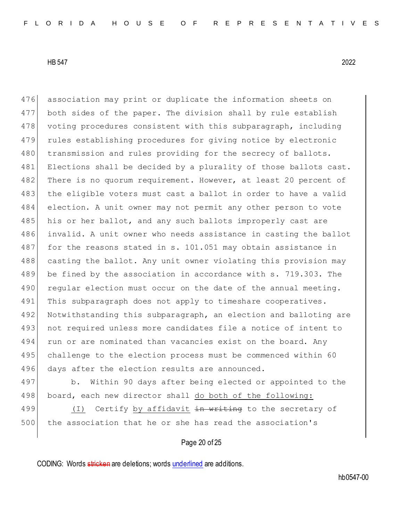476 association may print or duplicate the information sheets on 477 both sides of the paper. The division shall by rule establish 478 voting procedures consistent with this subparagraph, including 479 rules establishing procedures for giving notice by electronic 480 transmission and rules providing for the secrecy of ballots. 481 Elections shall be decided by a plurality of those ballots cast. 482 There is no quorum requirement. However, at least 20 percent of 483 the eligible voters must cast a ballot in order to have a valid 484 election. A unit owner may not permit any other person to vote 485 his or her ballot, and any such ballots improperly cast are 486 invalid. A unit owner who needs assistance in casting the ballot 487 for the reasons stated in s. 101.051 may obtain assistance in 488 casting the ballot. Any unit owner violating this provision may 489 be fined by the association in accordance with s. 719.303. The 490 regular election must occur on the date of the annual meeting. 491 This subparagraph does not apply to timeshare cooperatives. 492 Notwithstanding this subparagraph, an election and balloting are 493 not required unless more candidates file a notice of intent to 494 run or are nominated than vacancies exist on the board. Any 495 challenge to the election process must be commenced within 60 496 days after the election results are announced.

497 b. Within 90 days after being elected or appointed to the 498 board, each new director shall do both of the following:

499 (I) Certify by affidavit <del>in writing</del> to the secretary of 500 the association that he or she has read the association's

### Page 20 of 25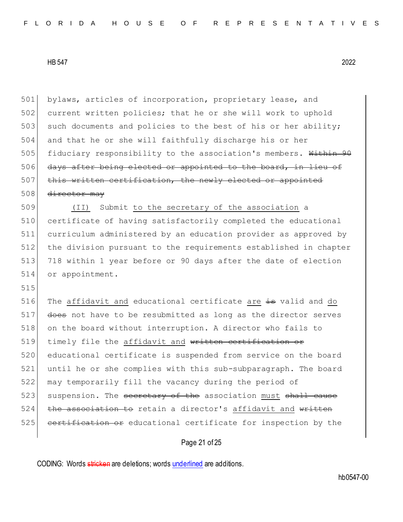501 bylaws, articles of incorporation, proprietary lease, and 502 current written policies; that he or she will work to uphold 503 such documents and policies to the best of his or her ability; 504 and that he or she will faithfully discharge his or her 505 fiduciary responsibility to the association's members. Within 90 506 days after being elected or appointed to the board, in lieu of 507 this written certification, the newly elected or appointed 508 director may 509 (II) Submit to the secretary of the association a 510 certificate of having satisfactorily completed the educational 511 curriculum administered by an education provider as approved by

512 the division pursuant to the requirements established in chapter 513 718 within 1 year before or 90 days after the date of election 514 or appointment.

515

516 The affidavit and educational certificate are is valid and do 517 does not have to be resubmitted as long as the director serves 518 on the board without interruption. A director who fails to 519 timely file the affidavit and written certifi 520 educational certificate is suspended from service on the board 521 until he or she complies with this sub-subparagraph. The board 522 may temporarily fill the vacancy during the period of 523 suspension. The secretary of the association must shall cause  $524$  the association to retain a director's affidavit and written 525 certification or educational certificate for inspection by the

## Page 21 of 25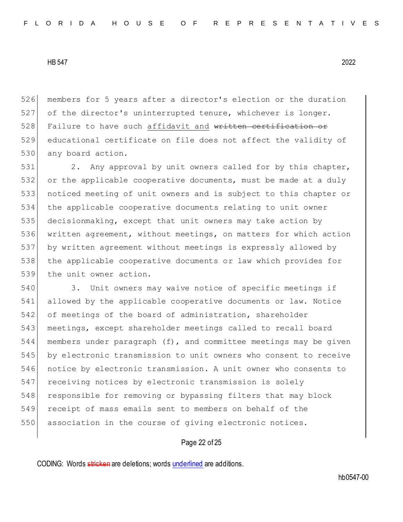526 members for 5 years after a director's election or the duration 527 of the director's uninterrupted tenure, whichever is longer. 528 Failure to have such affidavit and written certification or 529 educational certificate on file does not affect the validity of 530 any board action.

531 2. Any approval by unit owners called for by this chapter, or the applicable cooperative documents, must be made at a duly noticed meeting of unit owners and is subject to this chapter or the applicable cooperative documents relating to unit owner decisionmaking, except that unit owners may take action by written agreement, without meetings, on matters for which action by written agreement without meetings is expressly allowed by the applicable cooperative documents or law which provides for 539 the unit owner action.

 3. Unit owners may waive notice of specific meetings if allowed by the applicable cooperative documents or law. Notice 542 of meetings of the board of administration, shareholder meetings, except shareholder meetings called to recall board members under paragraph (f), and committee meetings may be given 545 by electronic transmission to unit owners who consent to receive notice by electronic transmission. A unit owner who consents to receiving notices by electronic transmission is solely 548 responsible for removing or bypassing filters that may block receipt of mass emails sent to members on behalf of the 550 association in the course of giving electronic notices.

### Page 22 of 25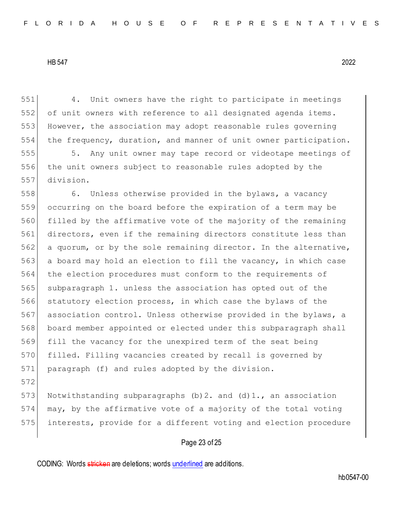4. Unit owners have the right to participate in meetings of unit owners with reference to all designated agenda items. 553 However, the association may adopt reasonable rules governing the frequency, duration, and manner of unit owner participation.

 5. Any unit owner may tape record or videotape meetings of the unit owners subject to reasonable rules adopted by the division.

558 6. Unless otherwise provided in the bylaws, a vacancy occurring on the board before the expiration of a term may be filled by the affirmative vote of the majority of the remaining directors, even if the remaining directors constitute less than a quorum, or by the sole remaining director. In the alternative, a board may hold an election to fill the vacancy, in which case the election procedures must conform to the requirements of 565 subparagraph 1. unless the association has opted out of the 566 statutory election process, in which case the bylaws of the 567 association control. Unless otherwise provided in the bylaws, a board member appointed or elected under this subparagraph shall fill the vacancy for the unexpired term of the seat being filled. Filling vacancies created by recall is governed by paragraph (f) and rules adopted by the division.

573 Notwithstanding subparagraphs (b) 2. and (d)  $1.7$ , an association may, by the affirmative vote of a majority of the total voting interests, provide for a different voting and election procedure

## Page 23 of 25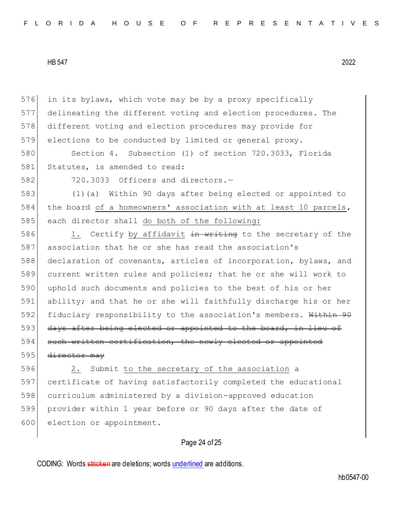in its bylaws, which vote may be by a proxy specifically delineating the different voting and election procedures. The different voting and election procedures may provide for 579 elections to be conducted by limited or general proxy.

580 Section 4. Subsection (1) of section 720.3033, Florida 581 Statutes, is amended to read:

582 720.3033 Officers and directors.-

583 (1)(a) Within 90 days after being elected or appointed to 584 the board of a homeowners' association with at least 10 parcels, 585 each director shall do both of the following:

586 1. Certify by affidavit in writing to the secretary of the 587 association that he or she has read the association's 588 declaration of covenants, articles of incorporation, bylaws, and 589 current written rules and policies; that he or she will work to 590 | uphold such documents and policies to the best of his or her 591 ability; and that he or she will faithfully discharge his or her 592 fiduciary responsibility to the association's members. Within 90 593 days after being elected or appointed to the board, in lieu of 594 such written certification, the newly 595 director may

596 2. Submit to the secretary of the association a 597 certificate of having satisfactorily completed the educational 598 curriculum administered by a division-approved education 599 provider within 1 year before or 90 days after the date of 600 election or appointment.

## Page 24 of 25